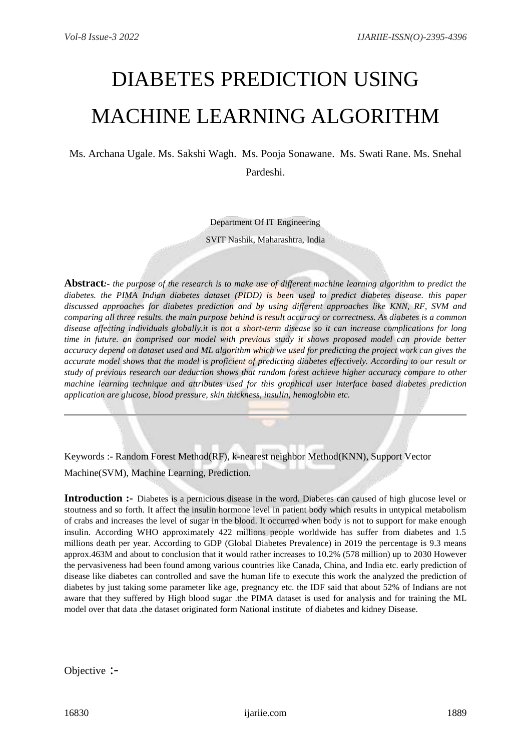# DIABETES PREDICTION USING MACHINE LEARNING ALGORITHM

Ms. Archana Ugale. Ms. Sakshi Wagh. Ms. Pooja Sonawane. Ms. Swati Rane. Ms. Snehal Pardeshi.

Department Of IT Engineering

SVIT Nashik, Maharashtra, India

**Abstract***:- the purpose of the research is to make use of different machine learning algorithm to predict the diabetes. the PIMA Indian diabetes dataset (PIDD) is been used to predict diabetes disease. this paper discussed approaches for diabetes prediction and by using different approaches like KNN, RF, SVM and comparing all three results. the main purpose behind is result accuracy or correctness. As diabetes is a common disease affecting individuals globally.it is not a short-term disease so it can increase complications for long time in future. an comprised our model with previous study it shows proposed model can provide better accuracy depend on dataset used and ML algorithm which we used for predicting the project work can gives the accurate model shows that the model is proficient of predicting diabetes effectively. According to our result or study of previous research our deduction shows that random forest achieve higher accuracy compare to other machine learning technique and attributes used for this graphical user interface based diabetes prediction application are glucose, blood pressure, skin thickness, insulin, hemoglobin etc.*

Keywords :- Random Forest Method(RF), k-nearest neighbor Method(KNN), Support Vector Machine(SVM), Machine Learning, Prediction.

**Introduction :-** Diabetes is a pernicious disease in the word. Diabetes can caused of high glucose level or stoutness and so forth. It affect the insulin hormone level in patient body which results in untypical metabolism of crabs and increases the level of sugar in the blood. It occurred when body is not to support for make enough insulin. According WHO approximately 422 millions people worldwide has suffer from diabetes and 1.5 millions death per year. According to GDP (Global Diabetes Prevalence) in 2019 the percentage is 9.3 means approx.463M and about to conclusion that it would rather increases to 10.2% (578 million) up to 2030 However the pervasiveness had been found among various countries like Canada, China, and India etc. early prediction of disease like diabetes can controlled and save the human life to execute this work the analyzed the prediction of diabetes by just taking some parameter like age, pregnancy etc. the IDF said that about 52% of Indians are not aware that they suffered by High blood sugar .the PIMA dataset is used for analysis and for training the ML model over that data .the dataset originated form National institute of diabetes and kidney Disease.

Objective :-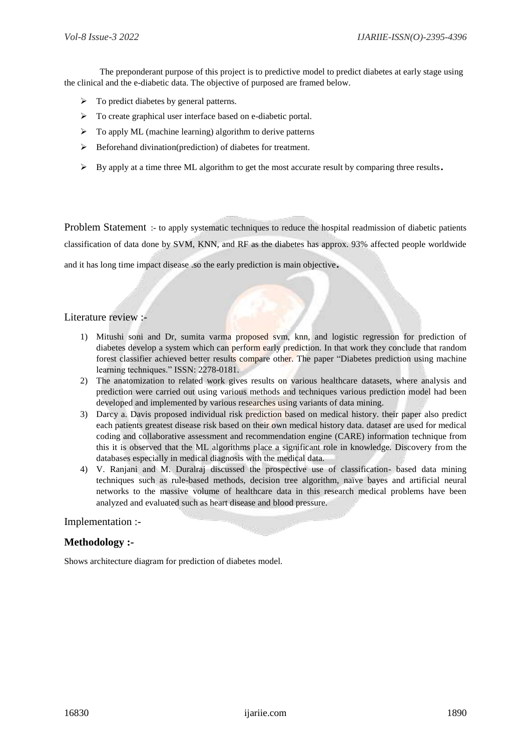The preponderant purpose of this project is to predictive model to predict diabetes at early stage using the clinical and the e-diabetic data. The objective of purposed are framed below.

- $\triangleright$  To predict diabetes by general patterns.
- > To create graphical user interface based on e-diabetic portal.
- $\triangleright$  To apply ML (machine learning) algorithm to derive patterns
- $\triangleright$  Beforehand divination(prediction) of diabetes for treatment.
- $\triangleright$  By apply at a time three ML algorithm to get the most accurate result by comparing three results.

Problem Statement :- to apply systematic techniques to reduce the hospital readmission of diabetic patients classification of data done by SVM, KNN, and RF as the diabetes has approx. 93% affected people worldwide and it has long time impact disease .so the early prediction is main objective.

# Literature review :-

- 1) Mitushi soni and Dr, sumita varma proposed svm, knn, and logistic regression for prediction of diabetes develop a system which can perform early prediction. In that work they conclude that random forest classifier achieved better results compare other. The paper "Diabetes prediction using machine learning techniques." ISSN: 2278-0181.
- 2) The anatomization to related work gives results on various healthcare datasets, where analysis and prediction were carried out using various methods and techniques various prediction model had been developed and implemented by various researches using variants of data mining.
- 3) Darcy a. Davis proposed individual risk prediction based on medical history. their paper also predict each patients greatest disease risk based on their own medical history data. dataset are used for medical coding and collaborative assessment and recommendation engine (CARE) information technique from this it is observed that the ML algorithms place a significant role in knowledge. Discovery from the databases especially in medical diagnosis with the medical data.
- 4) V. Ranjani and M. Duralraj discussed the prospective use of classification- based data mining techniques such as rule-based methods, decision tree algorithm, naïve bayes and artificial neural networks to the massive volume of healthcare data in this research medical problems have been analyzed and evaluated such as heart disease and blood pressure.

# Implementation :-

# **Methodology :-**

Shows architecture diagram for prediction of diabetes model.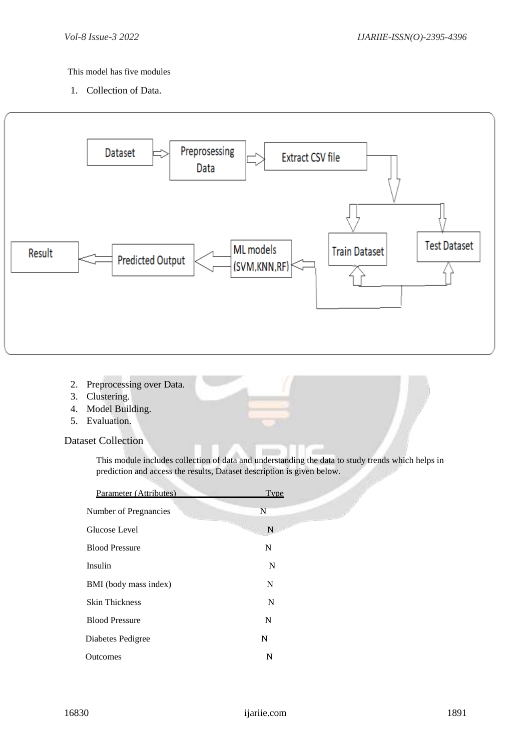# This model has five modules

1. Collection of Data.



- 2. Preprocessing over Data.
- 3. Clustering.
- 4. Model Building.
- 5. Evaluation.

Dataset Collection

This module includes collection of data and understanding the data to study trends which helps in prediction and access the results, Dataset description is given below.

| Parameter (Attributes) | Type |
|------------------------|------|
| Number of Pregnancies  | N    |
| Glucose Level          | N.   |
| <b>Blood Pressure</b>  | N    |
| Insulin                | N    |
| BMI (body mass index)  | N    |
| <b>Skin Thickness</b>  | N    |
| <b>Blood Pressure</b>  | N    |
| Diabetes Pedigree      | N    |
| Outcomes               | N    |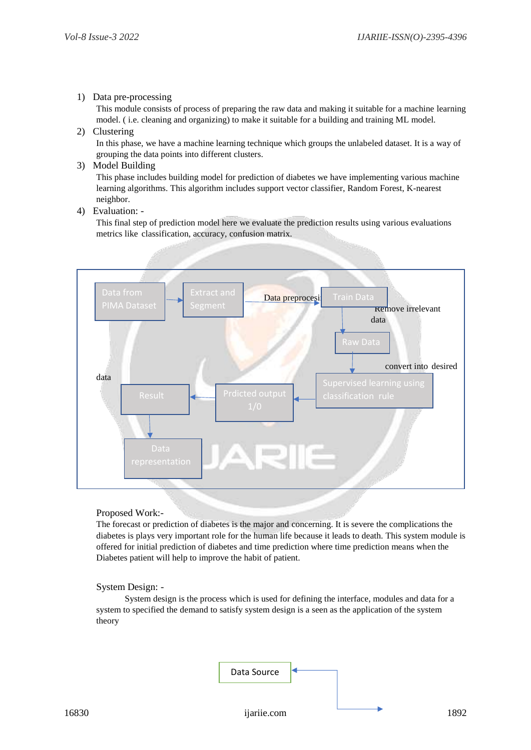### 1) Data pre-processing

This module consists of process of preparing the raw data and making it suitable for a machine learning model. ( i.e. cleaning and organizing) to make it suitable for a building and training ML model.

# 2) Clustering

In this phase, we have a machine learning technique which groups the unlabeled dataset. It is a way of grouping the data points into different clusters.

3) Model Building

This phase includes building model for prediction of diabetes we have implementing various machine learning algorithms. This algorithm includes support vector classifier, Random Forest, K-nearest neighbor.

4) Evaluation: -

This final step of prediction model here we evaluate the prediction results using various evaluations metrics like classification, accuracy, confusion matrix.



Proposed Work:-

The forecast or prediction of diabetes is the major and concerning. It is severe the complications the diabetes is plays very important role for the human life because it leads to death. This system module is offered for initial prediction of diabetes and time prediction where time prediction means when the Diabetes patient will help to improve the habit of patient.

#### System Design: -

 System design is the process which is used for defining the interface, modules and data for a system to specified the demand to satisfy system design is a seen as the application of the system theory

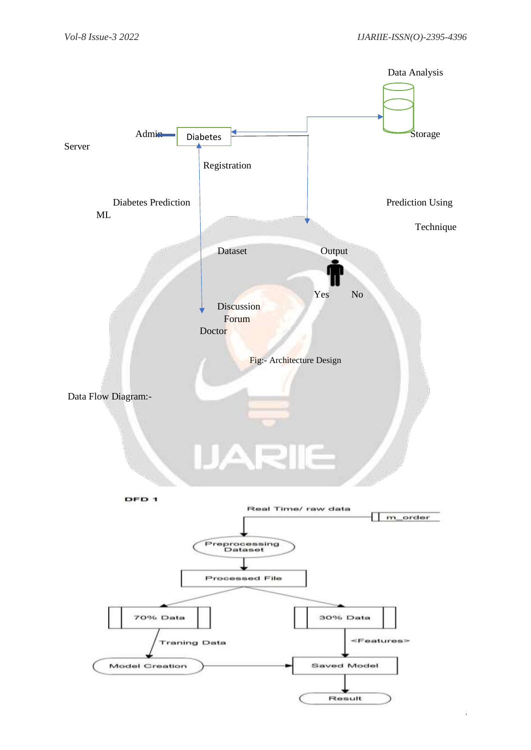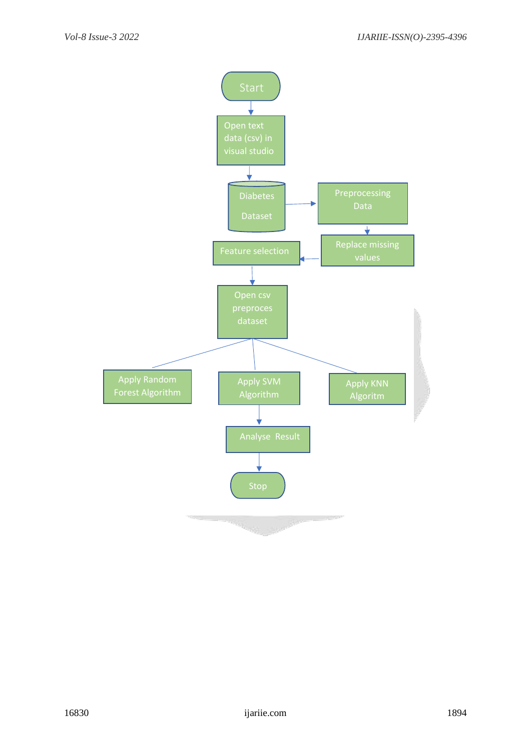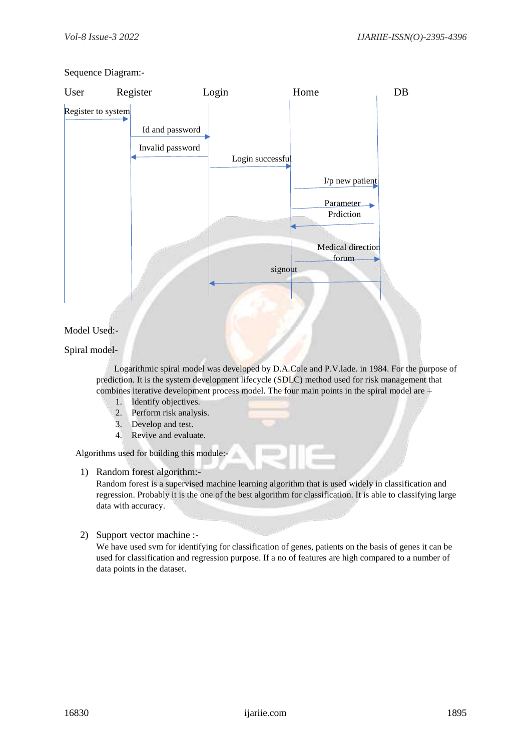# Sequence Diagram:-



# Model Used:-

# Spiral model-

 Logarithmic spiral model was developed by D.A.Cole and P.V.lade. in 1984. For the purpose of prediction. It is the system development lifecycle (SDLC) method used for risk management that combines iterative development process model. The four main points in the spiral model are –

- 1. Identify objectives.
- 2. Perform risk analysis.
- 3. Develop and test.
- 4. Revive and evaluate.

Algorithms used for building this module:-

1) Random forest algorithm:-

Random forest is a supervised machine learning algorithm that is used widely in classification and regression. Probably it is the one of the best algorithm for classification. It is able to classifying large data with accuracy.

2) Support vector machine :-

We have used svm for identifying for classification of genes, patients on the basis of genes it can be used for classification and regression purpose. If a no of features are high compared to a number of data points in the dataset.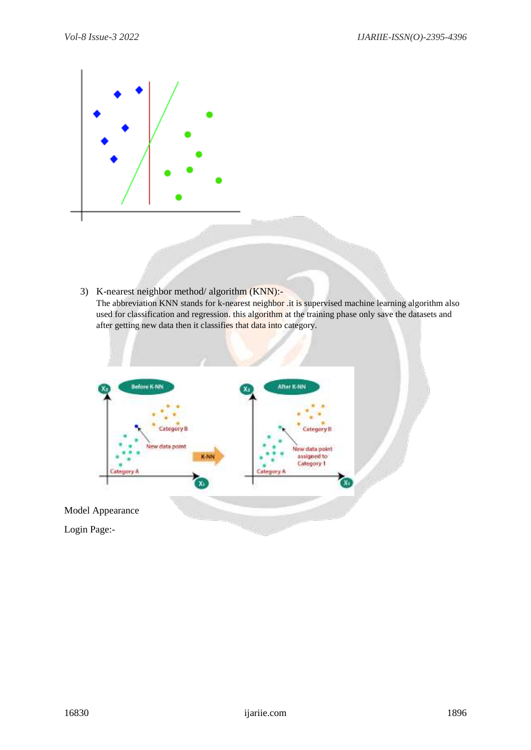

3) K-nearest neighbor method/ algorithm (KNN):- The abbreviation KNN stands for k-nearest neighbor .it is supervised machine learning algorithm also used for classification and regression. this algorithm at the training phase only save the datasets and after getting new data then it classifies that data into category.

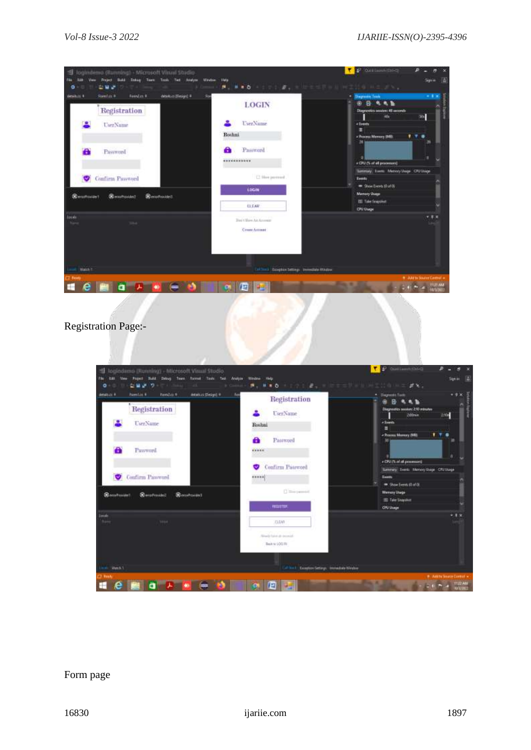| <b>Flowsfall</b><br>Foundate #<br>details as (Design) #<br>detailing #<br>Registration | Star<br><b>LOGIN</b>                           | <b>Diagnostic Trees</b><br>в<br>Diagnostics seasons 48 accords<br>ide. |
|----------------------------------------------------------------------------------------|------------------------------------------------|------------------------------------------------------------------------|
| UserName                                                                               | UserNume                                       | $\mathbb{R}^n$<br>« Everty                                             |
|                                                                                        | <b>Roshni</b>                                  | 甫<br>- Process Memory (MB)                                             |
| Passwood                                                                               | A<br>Password                                  | 36<br>э                                                                |
|                                                                                        | ***********                                    | + CPU (% of all processors)                                            |
| <b>Confirm Password</b><br>♥                                                           | [2 Slow percent                                | Tantesay, Counts: Matricey Unique: CPU Unique<br><b>Events</b>         |
|                                                                                        | LOGIN                                          | ShowEverti (0.x40)                                                     |
| <b>Stern Provident</b><br>06 enaProvided<br><b>B</b> levoFrovdell                      |                                                | <b>Marrory Usage</b><br><b>III</b> Take Snapping                       |
|                                                                                        | <b>CLEAR</b>                                   | <b>CIN' Usage</b>                                                      |
| <b>Side at</b>                                                                         | <b>Built Bire At Arrests</b><br>Crease Account |                                                                        |
|                                                                                        |                                                |                                                                        |
|                                                                                        |                                                |                                                                        |

Registration Page:-



# Form page